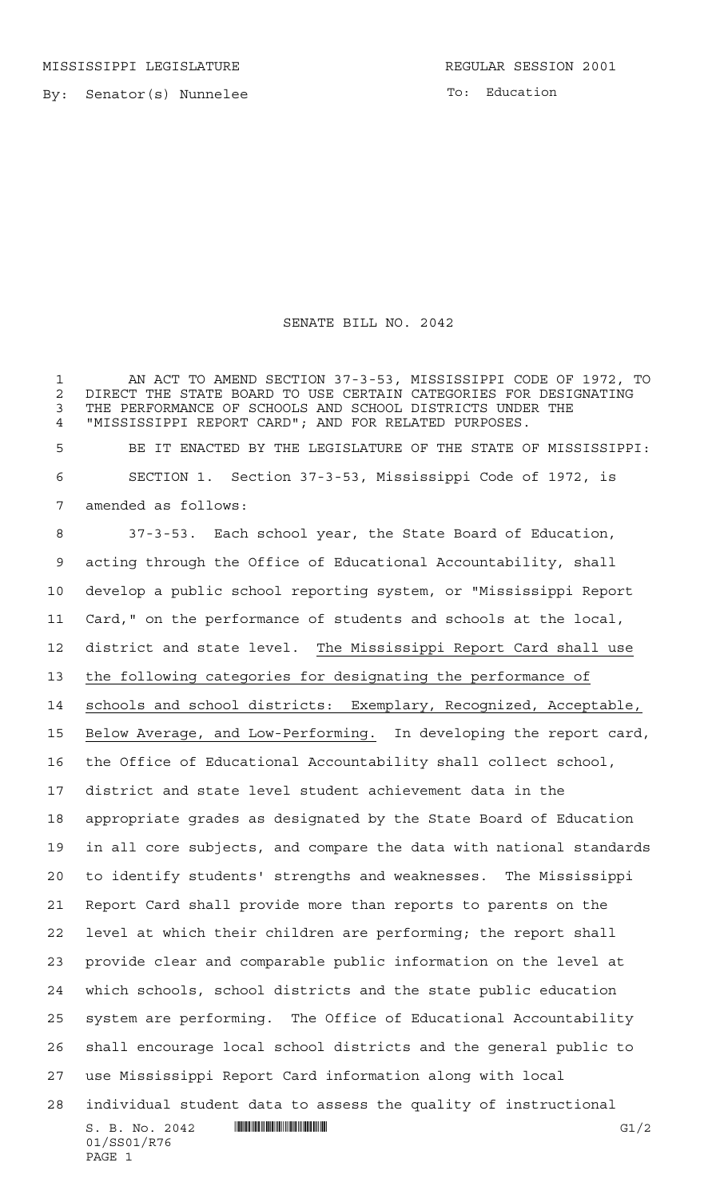MISSISSIPPI LEGISLATURE **REGULAR SESSION 2001** 

By: Senator(s) Nunnelee

PAGE 1

To: Education

## SENATE BILL NO. 2042

 AN ACT TO AMEND SECTION 37-3-53, MISSISSIPPI CODE OF 1972, TO 2 DIRECT THE STATE BOARD TO USE CERTAIN CATEGORIES FOR DESIGNATING<br>3 THE PERFORMANCE OF SCHOOLS AND SCHOOL DISTRICTS UNDER THE THE PERFORMANCE OF SCHOOLS AND SCHOOL DISTRICTS UNDER THE "MISSISSIPPI REPORT CARD"; AND FOR RELATED PURPOSES.

 BE IT ENACTED BY THE LEGISLATURE OF THE STATE OF MISSISSIPPI: SECTION 1. Section 37-3-53, Mississippi Code of 1972, is amended as follows:

 $S. B. No. 2042$   $\blacksquare$   $\blacksquare$   $\blacksquare$   $\blacksquare$   $\blacksquare$   $\blacksquare$   $\blacksquare$ 01/SS01/R76 37-3-53. Each school year, the State Board of Education, acting through the Office of Educational Accountability, shall develop a public school reporting system, or "Mississippi Report Card," on the performance of students and schools at the local, district and state level. The Mississippi Report Card shall use the following categories for designating the performance of schools and school districts: Exemplary, Recognized, Acceptable, Below Average, and Low-Performing. In developing the report card, the Office of Educational Accountability shall collect school, district and state level student achievement data in the appropriate grades as designated by the State Board of Education in all core subjects, and compare the data with national standards to identify students' strengths and weaknesses. The Mississippi Report Card shall provide more than reports to parents on the level at which their children are performing; the report shall provide clear and comparable public information on the level at which schools, school districts and the state public education system are performing. The Office of Educational Accountability shall encourage local school districts and the general public to use Mississippi Report Card information along with local individual student data to assess the quality of instructional